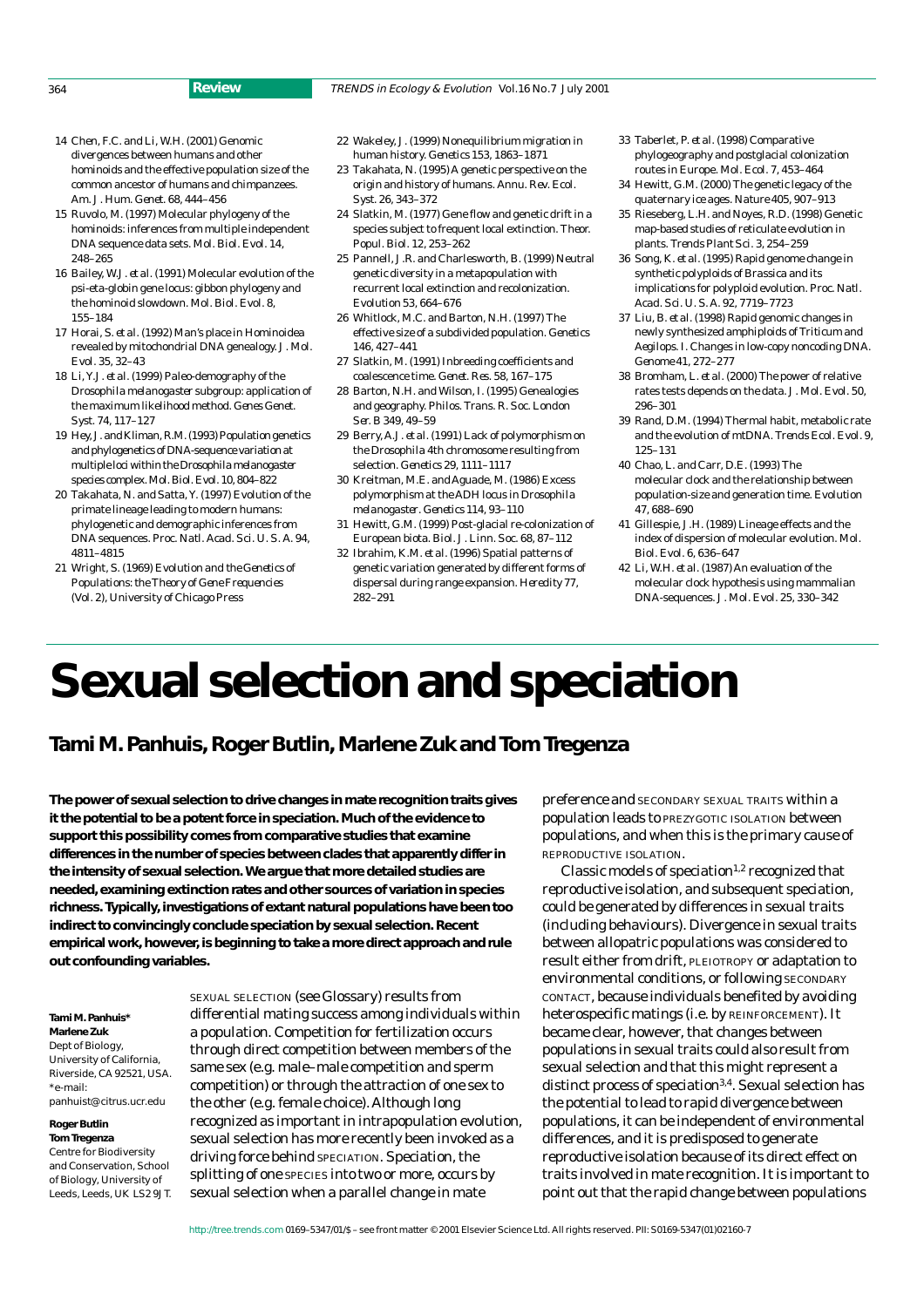- 14 Chen, F.C. and Li, W.H. (2001) Genomic divergences between humans and other hominoids and the effective population size of the common ancestor of humans and chimpanzees. *Am. J. Hum. Genet.* 68, 444–456
- 15 Ruvolo, M. (1997) Molecular phylogeny of the hominoids: inferences from multiple independent DNA sequence data sets. *Mol. Biol. Evol.* 14, 248–265
- 16 Bailey, W.J. *et al.* (1991) Molecular evolution of the psi-eta-globin gene locus: gibbon phylogeny and the hominoid slowdown. *Mol. Biol. Evol.* 8, 155–184
- 17 Horai, S. *et al*. (1992) Man's place in Hominoidea revealed by mitochondrial DNA genealogy. *J. Mol. Evol.* 35, 32–43
- 18 Li, Y.J. *et al.* (1999) Paleo-demography of the *Drosophila melanogaster* subgroup: application of the maximum likelihood method. *Genes Genet. Syst.* 74, 117–127
- 19 Hey, J. and Kliman, R.M. (1993) Population genetics and phylogenetics of DNA-sequence variation at multiple loci within the *Drosophila melanogaster* species complex. *Mol. Biol. Evol.*10, 804–822
- 20 Takahata, N. and Satta, Y. (1997) Evolution of the primate lineage leading to modern humans: phylogenetic and demographic inferences from DNA sequences. *Proc. Natl. Acad. Sci. U. S. A.* 94, 4811–4815
- 21 Wright, S. (1969) *Evolution and the Genetics of Populations: the Theory of Gene Frequencies*  (Vol. 2), University of Chicago Press
- 22 Wakeley, J. (1999) Nonequilibrium migration in human history. *Genetics* 153, 1863–1871
- 23 Takahata, N. (1995) A genetic perspective on the origin and history of humans. *Annu. Rev. Ecol. Syst.* 26, 343–372
- 24 Slatkin, M. (1977) Gene flow and genetic drift in a species subject to frequent local extinction. *Theor. Popul. Biol.* 12, 253–262
- 25 Pannell, J.R. and Charlesworth, B. (1999) Neutral genetic diversity in a metapopulation with recurrent local extinction and recolonization. *Evolution* 53, 664–676
- 26 Whitlock, M.C. and Barton, N.H. (1997) The effective size of a subdivided population. *Genetics* 146, 427–441
- 27 Slatkin, M. (1991) Inbreeding coefficients and coalescence time. *Genet. Res.* 58, 167–175
- 28 Barton, N.H. and Wilson, I. (1995) Genealogies and geography. *Philos. Trans. R. Soc. London Ser. B* 349, 49–59
- 29 Berry, A.J. *et al.* (1991) Lack of polymorphism on the *Drosophila* 4th chromosome resulting from selection. *Genetics* 29, 1111–1117
- 30 Kreitman, M.E. and Aguade, M. (1986) Excess polymorphism at the ADH locus in *Drosophila melanogaster*. *Genetics* 114, 93–110
- 31 Hewitt, G.M. (1999) Post-glacial re-colonization of European biota. *Biol. J. Linn. Soc.* 68, 87–112
- 32 Ibrahim, K.M. *et al.* (1996) Spatial patterns of genetic variation generated by different forms of dispersal during range expansion. *Heredity* 77, 282–291
- 33 Taberlet, P. *et al.* (1998) Comparative phylogeography and postglacial colonization routes in Europe. *Mol. Ecol.* 7, 453–464
- 34 Hewitt, G.M. (2000) The genetic legacy of the quaternary ice ages. *Nature* 405, 907–913
- 35 Rieseberg, L.H. and Noyes, R.D. (1998) Genetic map-based studies of reticulate evolution in plants. *Trends Plant Sci.* 3, 254–259
- 36 Song, K. *et al.* (1995) Rapid genome change in synthetic polyploids of *Brassica* and its implications for polyploid evolution. *Proc. Natl. Acad. Sci.* U. S. A. 92, 7719–7723
- 37 Liu, B. *et al.* (1998) Rapid genomic changes in newly synthesized amphiploids of *Triticum* and *Aegilops*. I. Changes in low-copy noncoding DNA. *Genome* 41, 272–277
- 38 Bromham, L. *et al.* (2000) The power of relative rates tests depends on the data. *J. Mol. Evol.* 50, 296–301
- 39 Rand, D.M. (1994) Thermal habit, metabolic rate and the evolution of mtDNA. *Trends Ecol. Evol.* 9, 125–131
- 40 Chao, L. and Carr, D.E. (1993) The molecular clock and the relationship between population-size and generation time. *Evolution* 47, 688–690
- 41 Gillespie, J.H. (1989) Lineage effects and the index of dispersion of molecular evolution. *Mol. Biol. Evol.* 6, 636–647
- 42 Li, W.H. *et al.* (1987) An evaluation of the molecular clock hypothesis using mammalian DNA-sequences. *J. Mol. Evol.* 25, 330–342

# **Sexual selection and speciation**

# **Tami M. Panhuis, Roger Butlin, Marlene Zuk and Tom Tregenza**

**The power of sexual selection to drive changes in mate recognition traits gives it the potential to be a potent force in speciation. Much of the evidence to support this possibility comes from comparative studies that examine differences in the number of species between clades that apparently differ in the intensity of sexual selection. We argue that more detailed studies are needed, examining extinction rates and other sources of variation in species richness. Typically, investigations of extant natural populations have been too indirect to convincingly conclude speciation by sexual selection. Recent empirical work, however, is beginning to take a more direct approach and rule out confounding variables.**

#### **Tami M. Panhuis\* Marlene Zuk** Dept of Biology, University of California, Riverside, CA 92521, USA. \*e-mail: panhuist@citrus.ucr.edu

**Roger Butlin Tom Tregenza** Centre for Biodiversity and Conservation, School of Biology, University of Leeds, Leeds, UK LS2 9JT.

SEXUAL SELECTION (see Glossary) results from differential mating success among individuals within a population. Competition for fertilization occurs through direct competition between members of the same sex (e.g. male–male competition and sperm competition) or through the attraction of one sex to the other (e.g. female choice). Although long recognized as important in intrapopulation evolution, sexual selection has more recently been invoked as a driving force behind SPECIATION. Speciation, the splitting of one SPECIES into two or more, occurs by sexual selection when a parallel change in mate

preference and SECONDARY SEXUAL TRAITS within a population leads to PREZYGOTIC ISOLATION between populations, and when this is the primary cause of REPRODUCTIVE ISOLATION.

Classic models of speciation<sup>1,2</sup> recognized that reproductive isolation, and subsequent speciation, could be generated by differences in sexual traits (including behaviours). Divergence in sexual traits between allopatric populations was considered to result either from drift, PLEIOTROPY or adaptation to environmental conditions, or following SECONDARY CONTACT, because individuals benefited by avoiding heterospecific matings (i.e. by REINFORCEMENT). It became clear, however, that changes between populations in sexual traits could also result from sexual selection and that this might represent a distinct process of speciation<sup>3,4</sup>. Sexual selection has the potential to lead to rapid divergence between populations, it can be independent of environmental differences, and it is predisposed to generate reproductive isolation because of its direct effect on traits involved in mate recognition. It is important to point out that the rapid change between populations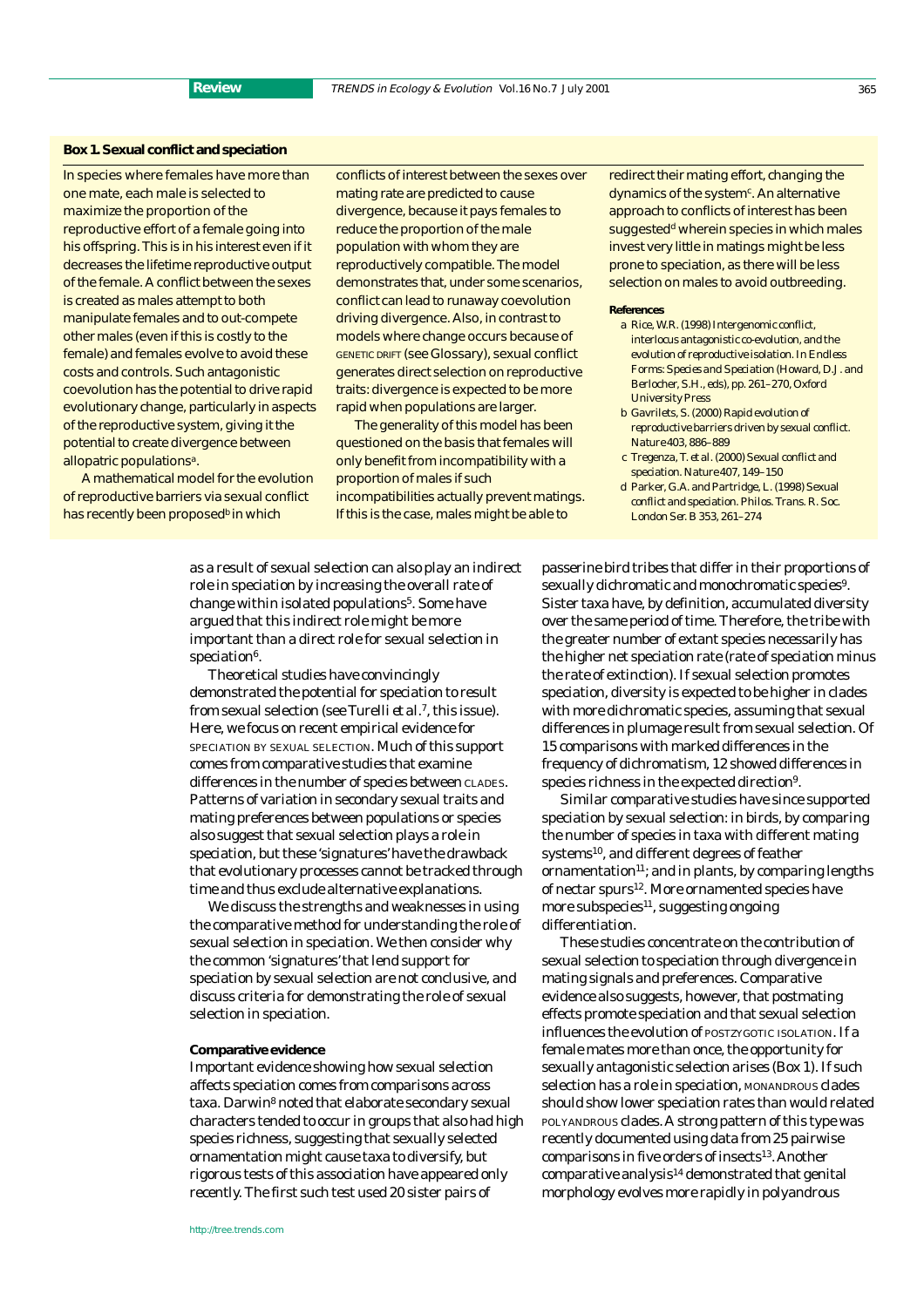#### **Box 1. Sexual conflict and speciation**

In species where females have more than one mate, each male is selected to maximize the proportion of the reproductive effort of a female going into his offspring. This is in his interest even if it decreases the lifetime reproductive output of the female. A conflict between the sexes is created as males attempt to both manipulate females and to out-compete other males (even if this is costly to the female) and females evolve to avoid these costs and controls. Such antagonistic coevolution has the potential to drive rapid evolutionary change, particularly in aspects of the reproductive system, giving it the potential to create divergence between allopatric populations<sup>a</sup>.

A mathematical model for the evolution of reproductive barriers via sexual conflict has recently been proposed<sup>b</sup> in which

conflicts of interest between the sexes over mating rate are predicted to cause divergence, because it pays females to reduce the proportion of the male population with whom they are reproductively compatible. The model demonstrates that, under some scenarios, conflict can lead to runaway coevolution driving divergence. Also, in contrast to models where change occurs because of GENETIC DRIFT (see Glossary), sexual conflict generates direct selection on reproductive traits: divergence is expected to be more rapid when populations are larger.

The generality of this model has been questioned on the basis that females will only benefit from incompatibility with a proportion of males if such incompatibilities actually prevent matings. If this is the case, males might be able to

redirect their mating effort, changing the dynamics of the system<sup>c</sup>. An alternative approach to conflicts of interest has been suggested<sup>d</sup> wherein species in which males invest very little in matings might be less prone to speciation, as there will be less selection on males to avoid outbreeding.

#### **References**

- a Rice, W.R. (1998) Intergenomic conflict, interlocus antagonistic co-evolution, and the evolution of reproductive isolation. In *Endless Forms: Species and Speciation* (Howard, D.J. and Berlocher, S.H., eds), pp. 261–270, Oxford University Press
- b Gavrilets, S. (2000) Rapid evolution of reproductive barriers driven by sexual conflict. *Nature* 403, 886–889
- c Tregenza, T. *et al*. (2000) Sexual conflict and speciation. *Nature* 407, 149–150
- d Parker, G.A. and Partridge, L. (1998) Sexual conflict and speciation. *Philos. Trans. R*. *Soc. London Ser. B* 353, 261–274

as a result of sexual selection can also play an indirect role in speciation by increasing the overall rate of change within isolated populations<sup>5</sup>. Some have argued that this indirect role might be more important than a direct role for sexual selection in speciation<sup>6</sup>.

Theoretical studies have convincingly demonstrated the potential for speciation to result from sexual selection (see Turelli *et al.*7, this issue). Here, we focus on recent empirical evidence for SPECIATION BY SEXUAL SELECTION. Much of this support comes from comparative studies that examine differences in the number of species between CLADES. Patterns of variation in secondary sexual traits and mating preferences between populations or species also suggest that sexual selection plays a role in speciation, but these 'signatures'have the drawback that evolutionary processes cannot be tracked through time and thus exclude alternative explanations.

We discuss the strengths and weaknesses in using the comparative method for understanding the role of sexual selection in speciation. We then consider why the common 'signatures'that lend support for speciation by sexual selection are not conclusive, and discuss criteria for demonstrating the role of sexual selection in speciation.

#### **Comparative evidence**

Important evidence showing how sexual selection affects speciation comes from comparisons across taxa. Darwin<sup>8</sup> noted that elaborate secondary sexual characters tended to occur in groups that also had high species richness, suggesting that sexually selected ornamentation might cause taxa to diversify, but rigorous tests of this association have appeared only recently. The first such test used 20 sister pairs of

passerine bird tribes that differ in their proportions of sexually dichromatic and monochromatic species<sup>9</sup>. Sister taxa have, by definition, accumulated diversity over the same period of time. Therefore, the tribe with the greater number of extant species necessarily has the higher net speciation rate (rate of speciation minus the rate of extinction). If sexual selection promotes speciation, diversity is expected to be higher in clades with more dichromatic species, assuming that sexual differences in plumage result from sexual selection. Of 15 comparisons with marked differences in the frequency of dichromatism, 12 showed differences in species richness in the expected direction<sup>9</sup>.

Similar comparative studies have since supported speciation by sexual selection: in birds, by comparing the number of species in taxa with different mating systems<sup>10</sup>, and different degrees of feather ornamentation $11$ ; and in plants, by comparing lengths of nectar spurs<sup>12</sup>. More ornamented species have more subspecies<sup>11</sup>, suggesting ongoing differentiation.

These studies concentrate on the contribution of sexual selection to speciation through divergence in mating signals and preferences. Comparative evidence also suggests, however, that postmating effects promote speciation and that sexual selection influences the evolution of POSTZYGOTIC ISOLATION. If a female mates more than once, the opportunity for sexually antagonistic selection arises (Box 1). If such selection has a role in speciation, MONANDROUS clades should show lower speciation rates than would related POLYANDROUS clades. A strong pattern of this type was recently documented using data from 25 pairwise comparisons in five orders of insects<sup>13</sup>. Another  $comparative$  analysis $14$  demonstrated that genital morphology evolves more rapidly in polyandrous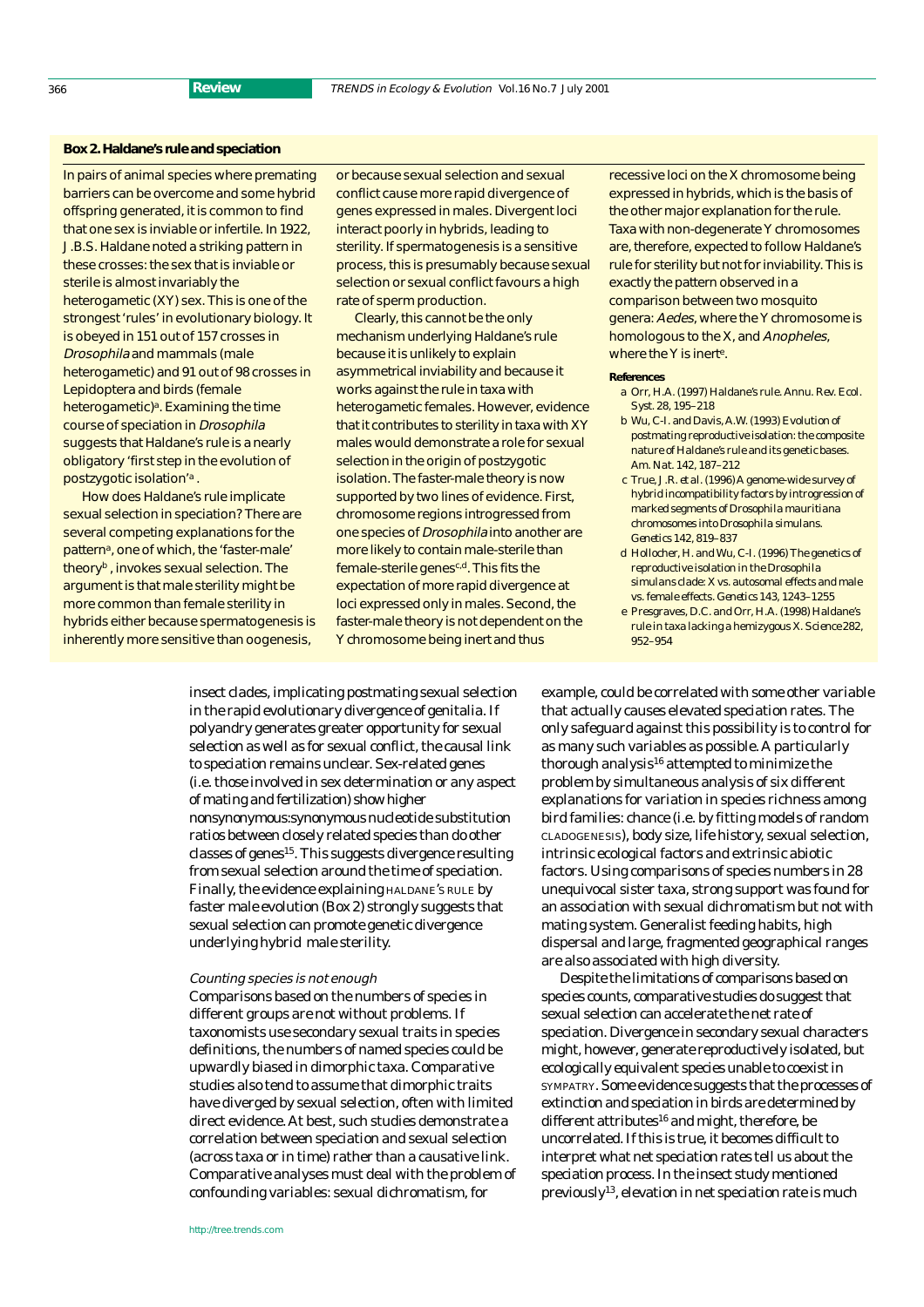#### **Box 2. Haldane's rule and speciation**

In pairs of animal species where premating barriers can be overcome and some hybrid offspring generated, it is common to find that one sex is inviable or infertile. In 1922, J.B.S. Haldane noted a striking pattern in these crosses: the sex that is inviable or sterile is almost invariably the heterogametic (XY) sex. This is one of the strongest 'rules' in evolutionary biology. It is obeyed in 151 out of 157 crosses in Drosophila and mammals (male heterogametic) and 91 out of 98 crosses in Lepidoptera and birds (female heterogametic)<sup>a</sup>. Examining the time course of speciation in Drosophila suggests that Haldane's rule is a nearly obligatory 'first step in the evolution of postzygotic isolation'a .

How does Haldane's rule implicate sexual selection in speciation? There are several competing explanations for the pattern<sup>a</sup>, one of which, the 'faster-male' theoryb , invokes sexual selection. The argument is that male sterility might be more common than female sterility in hybrids either because spermatogenesis is inherently more sensitive than oogenesis,

or because sexual selection and sexual conflict cause more rapid divergence of genes expressed in males. Divergent loci interact poorly in hybrids, leading to sterility. If spermatogenesis is a sensitive process, this is presumably because sexual selection or sexual conflict favours a high rate of sperm production.

Clearly, this cannot be the only mechanism underlying Haldane's rule because it is unlikely to explain asymmetrical inviability and because it works against the rule in taxa with heterogametic females. However, evidence that it contributes to sterility in taxa with XY males would demonstrate a role for sexual selection in the origin of postzygotic isolation. The faster-male theory is now supported by two lines of evidence. First, chromosome regions introgressed from one species of Drosophila into another are more likely to contain male-sterile than female-sterile genes<sup>c,d</sup>. This fits the expectation of more rapid divergence at loci expressed only in males. Second, the faster-male theory is not dependent on the Y chromosome being inert and thus

insect clades, implicating postmating sexual selection in the rapid evolutionary divergence of genitalia. If polyandry generates greater opportunity for sexual selection as well as for sexual conflict, the causal link to speciation remains unclear. Sex-related genes (i.e. those involved in sex determination or any aspect of mating and fertilization) show higher nonsynonymous:synonymous nucleotide substitution ratios between closely related species than do other classes of genes15. This suggests divergence resulting from sexual selection around the time of speciation. Finally, the evidence explaining HALDANE'S RULE by faster male evolution (Box 2) strongly suggests that sexual selection can promote genetic divergence underlying hybrid male sterility.

#### Counting species is not enough

Comparisons based on the numbers of species in different groups are not without problems. If taxonomists use secondary sexual traits in species definitions, the numbers of named species could be upwardly biased in dimorphic taxa. Comparative studies also tend to assume that dimorphic traits have diverged by sexual selection, often with limited direct evidence. At best, such studies demonstrate a correlation between speciation and sexual selection (across taxa or in time) rather than a causative link. Comparative analyses must deal with the problem of confounding variables: sexual dichromatism, for

expressed in hybrids, which is the basis of the other major explanation for the rule. Taxa with non-degenerate Y chromosomes are, therefore, expected to follow Haldane's rule for sterility but not for inviability. This is exactly the pattern observed in a comparison between two mosquito genera: Aedes, where the Y chromosome is homologous to the X, and Anopheles, where the Y is inerte.

recessive loci on the X chromosome being

#### **References**

- a Orr, H.A. (1997) Haldane's rule. *Annu. Rev. Ecol. Syst*. 28, 195–218
- b Wu, C-I. and Davis, A.W. (1993) Evolution of postmating reproductive isolation: the composite nature of Haldane's rule and its genetic bases. *Am. Nat*. 142, 187–212
- c True, J.R. *et al*. (1996) A genome-wide survey of hybrid incompatibility factors by introgression of marked segments of *Drosophila mauritiana* chromosomes into *Drosophila simulans*. *Genetics* 142, 819–837
- d Hollocher, H. and Wu, C-I. (1996) The genetics of reproductive isolation in the *Drosophila simulans* clade: X vs. autosomal effects and male vs. female effects. *Genetics* 143, 1243–1255
- e Presgraves, D.C. and Orr, H.A. (1998) Haldane's rule in taxa lacking a hemizygous X. *Science* 282, 952–954

example, could be correlated with some other variable that actually causes elevated speciation rates. The only safeguard against this possibility is to control for as many such variables as possible. A particularly thorough analysis<sup>16</sup> attempted to minimize the problem by simultaneous analysis of six different explanations for variation in species richness among bird families: chance (i.e. by fitting models of random CLADOGENESIS), body size, life history, sexual selection, intrinsic ecological factors and extrinsic abiotic factors. Using comparisons of species numbers in 28 unequivocal sister taxa, strong support was found for an association with sexual dichromatism but not with mating system. Generalist feeding habits, high dispersal and large, fragmented geographical ranges are also associated with high diversity.

Despite the limitations of comparisons based on species counts, comparative studies do suggest that sexual selection can accelerate the net rate of speciation. Divergence in secondary sexual characters might, however, generate reproductively isolated, but ecologically equivalent species unable to coexist in SYMPATRY. Some evidence suggests that the processes of extinction and speciation in birds are determined by different attributes<sup>16</sup> and might, therefore, be uncorrelated. If this is true, it becomes difficult to interpret what net speciation rates tell us about the speciation process. In the insect study mentioned previously13, elevation in net speciation rate is much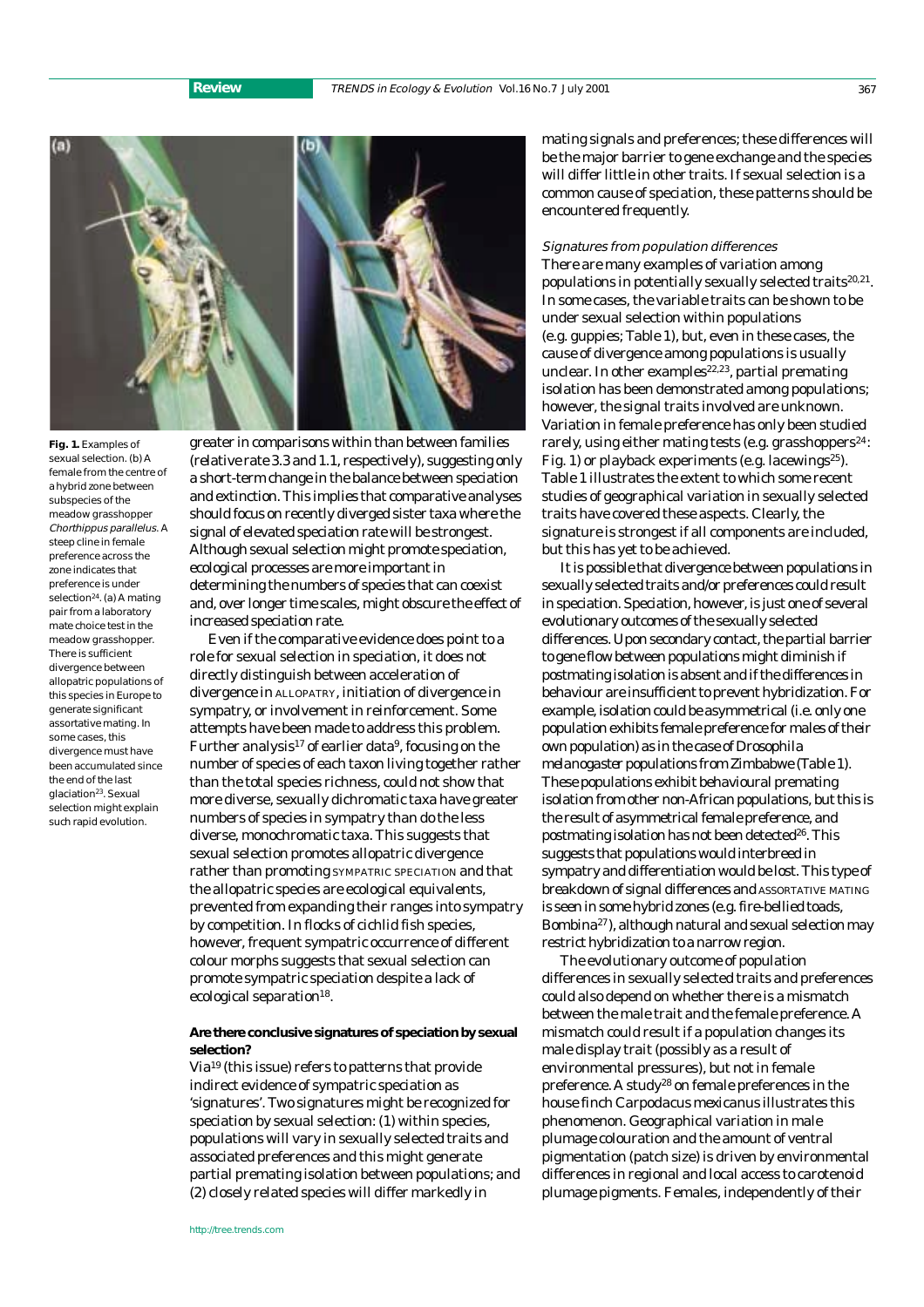

**Fig. 1.** Examples of sexual selection. (b) A female from the centre of a hybrid zone between subspecies of the meadow grasshopper Chorthippus parallelus. A steep cline in female preference across the zone indicates that preference is under selection<sup>24</sup>. (a) A mating pair from a laboratory mate choice test in the meadow grasshopper. There is sufficient divergence between allopatric populations of this species in Europe to generate significant assortative mating. In some cases, this divergence must have been accumulated since the end of the last glaciation23. Sexual selection might explain such rapid evolution.

greater in comparisons within than between families (relative rate 3.3 and 1.1, respectively), suggesting only a short-term change in the balance between speciation and extinction. This implies that comparative analyses should focus on recently diverged sister taxa where the signal of elevated speciation rate will be strongest. Although sexual selection might promote speciation, ecological processes are more important in determining the numbers of species that can coexist and, over longer time scales, might obscure the effect of increased speciation rate.

Even if the comparative evidence does point to a role for sexual selection in speciation, it does not directly distinguish between acceleration of divergence in ALLOPATRY, initiation of divergence in sympatry, or involvement in reinforcement. Some attempts have been made to address this problem. Further analysis<sup>17</sup> of earlier data<sup>9</sup>, focusing on the number of species of each taxon living together rather than the total species richness, could not show that more diverse, sexually dichromatic taxa have greater numbers of species in sympatry than do the less diverse, monochromatic taxa. This suggests that sexual selection promotes allopatric divergence rather than promoting SYMPATRIC SPECIATION and that the allopatric species are ecological equivalents, prevented from expanding their ranges into sympatry by competition. In flocks of cichlid fish species, however, frequent sympatric occurrence of different colour morphs suggests that sexual selection can promote sympatric speciation despite a lack of ecological separation $18$ .

**Are there conclusive signatures of speciation by sexual selection?**

Via19 (this issue) refers to patterns that provide indirect evidence of sympatric speciation as 'signatures'. Two signatures might be recognized for speciation by sexual selection: (1) within species, populations will vary in sexually selected traits and associated preferences and this might generate partial premating isolation between populations; and (2) closely related species will differ markedly in

mating signals and preferences; these differences will be the major barrier to gene exchange and the species will differ little in other traits. If sexual selection is a common cause of speciation, these patterns should be encountered frequently.

## Signatures from population differences

There are many examples of variation among populations in potentially sexually selected traits<sup>20,21</sup>. In some cases, the variable traits can be shown to be under sexual selection within populations (e.g. guppies; Table 1), but, even in these cases, the cause of divergence among populations is usually unclear. In other examples<sup>22,23</sup>, partial premating isolation has been demonstrated among populations; however, the signal traits involved are unknown. Variation in female preference has only been studied rarely, using either mating tests (e.g. grasshoppers<sup>24</sup>: Fig. 1) or playback experiments (e.g. lacewings<sup>25</sup>). Table 1 illustrates the extent to which some recent studies of geographical variation in sexually selected traits have covered these aspects. Clearly, the signature is strongest if all components are included, but this has yet to be achieved.

It is possible that divergence between populations in sexually selected traits and/or preferences could result in speciation. Speciation, however, is just one of several evolutionary outcomes of the sexually selected differences. Upon secondary contact, the partial barrier to gene flow between populations might diminish if postmating isolation is absent and if the differences in behaviour are insufficient to prevent hybridization. For example, isolation could be asymmetrical (i.e. only one population exhibits female preference for males of their own population) as in the case of *Drosophila melanogaster* populations from Zimbabwe (Table 1). These populations exhibit behavioural premating isolation from other non-African populations, but this is the result of asymmetrical female preference, and postmating isolation has not been detected<sup>26</sup>. This suggests that populations would interbreed in sympatry and differentiation would be lost. This type of breakdown of signal differences and ASSORTATIVE MATING is seen in some hybrid zones (e.g. fire-bellied toads, *Bombina*27), although natural and sexual selection may restrict hybridization to a narrow region.

The evolutionary outcome of population differences in sexually selected traits and preferences could also depend on whether there is a mismatch between the male trait and the female preference. A mismatch could result if a population changes its male display trait (possibly as a result of environmental pressures), but not in female preference. A study<sup>28</sup> on female preferences in the house finch *Carpodacus mexicanus* illustrates this phenomenon. Geographical variation in male plumage colouration and the amount of ventral pigmentation (patch size) is driven by environmental differences in regional and local access to carotenoid plumage pigments. Females, independently of their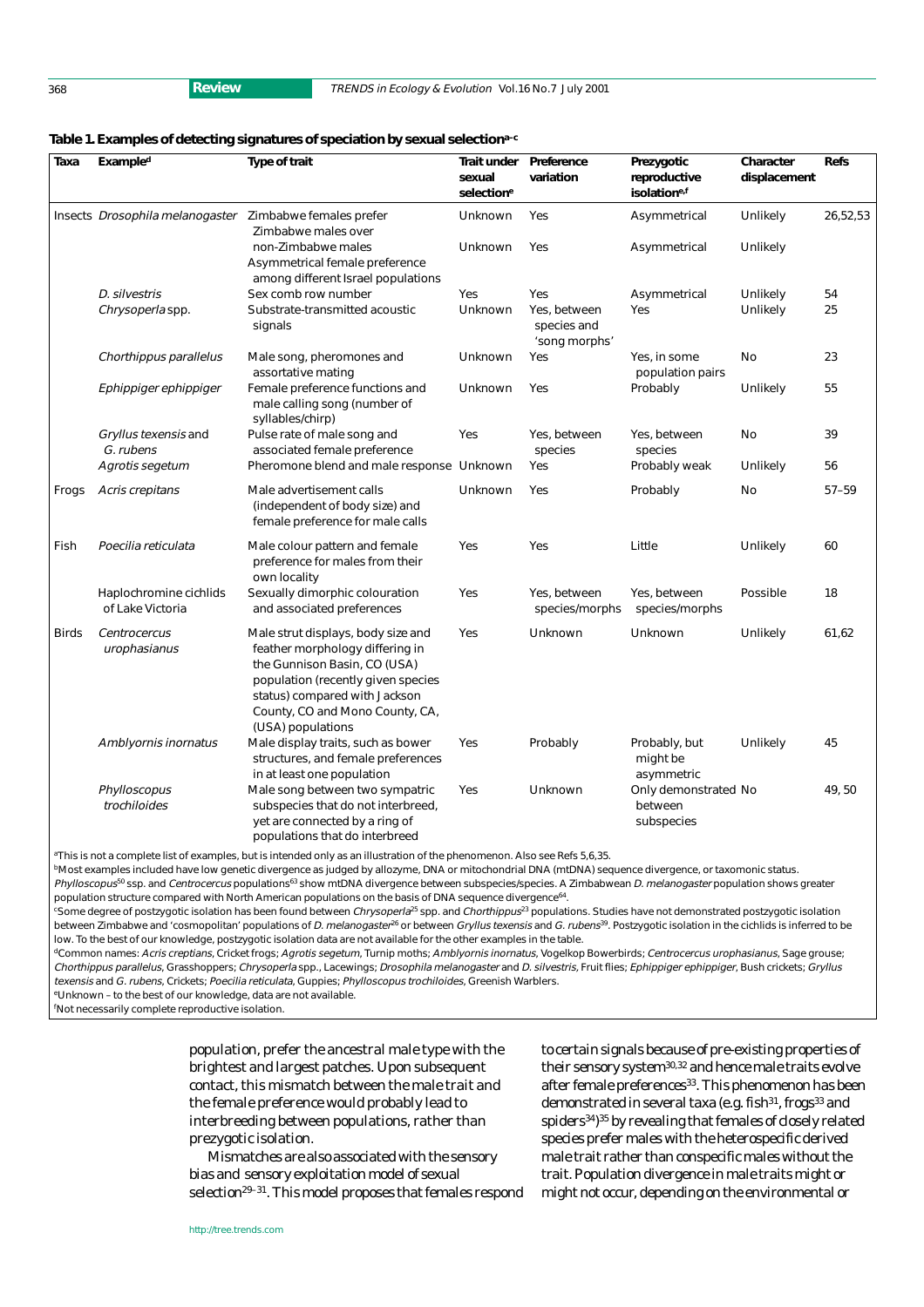368 **Review**

# **Table 1. Examples of detecting signatures of speciation by sexual selectiona–c**

| Taxa         | <b>Exampled</b>                            | <b>Type of trait</b>                                                                                                                                                                                                                 | sexual<br>selection <sup>e</sup> | Trait under Preference<br>variation          | Prezygotic<br>reproductive<br>isolation <sup>e,f</sup> | Character<br>displacement | <b>Refs</b> |
|--------------|--------------------------------------------|--------------------------------------------------------------------------------------------------------------------------------------------------------------------------------------------------------------------------------------|----------------------------------|----------------------------------------------|--------------------------------------------------------|---------------------------|-------------|
|              | Insects Drosophila melanogaster            | Zimbabwe females prefer<br>Zimbabwe males over                                                                                                                                                                                       | Unknown                          | Yes                                          | Asymmetrical                                           | Unlikely                  | 26,52,53    |
|              |                                            | non-Zimbabwe males<br>Asymmetrical female preference<br>among different Israel populations                                                                                                                                           | Unknown                          | Yes                                          | Asymmetrical                                           | Unlikely                  |             |
|              | D. silvestris                              | Sex comb row number                                                                                                                                                                                                                  | Yes                              | Yes                                          | Asymmetrical                                           | Unlikely                  | 54          |
|              | Chrysoperla spp.                           | Substrate-transmitted acoustic<br>signals                                                                                                                                                                                            | Unknown                          | Yes, between<br>species and<br>'song morphs' | Yes                                                    | Unlikely                  | 25          |
|              | Chorthippus parallelus                     | Male song, pheromones and<br>assortative mating                                                                                                                                                                                      | Unknown                          | Yes                                          | Yes, in some<br>population pairs                       | No                        | 23          |
|              | Ephippiger ephippiger                      | Female preference functions and<br>male calling song (number of<br>syllables/chirp)                                                                                                                                                  | Unknown                          | Yes                                          | Probably                                               | Unlikely                  | 55          |
|              | Gryllus texensis and<br>G. rubens          | Pulse rate of male song and<br>associated female preference                                                                                                                                                                          | Yes                              | Yes, between<br>species                      | Yes, between<br>species                                | No                        | 39          |
|              | Agrotis segetum                            | Pheromone blend and male response Unknown                                                                                                                                                                                            |                                  | Yes                                          | Probably weak                                          | Unlikely                  | 56          |
| Frogs        | Acris crepitans                            | Male advertisement calls<br>(independent of body size) and<br>female preference for male calls                                                                                                                                       | Unknown                          | Yes                                          | Probably                                               | No                        | $57 - 59$   |
| Fish         | Poecilia reticulata                        | Male colour pattern and female<br>preference for males from their<br>own locality                                                                                                                                                    | Yes                              | Yes                                          | Little                                                 | Unlikely                  | 60          |
|              | Haplochromine cichlids<br>of Lake Victoria | Sexually dimorphic colouration<br>and associated preferences                                                                                                                                                                         | Yes                              | Yes, between<br>species/morphs               | Yes, between<br>species/morphs                         | Possible                  | 18          |
| <b>Birds</b> | Centrocercus<br>urophasianus               | Male strut displays, body size and<br>feather morphology differing in<br>the Gunnison Basin, CO (USA)<br>population (recently given species<br>status) compared with Jackson<br>County, CO and Mono County, CA,<br>(USA) populations | Yes                              | Unknown                                      | Unknown                                                | Unlikely                  | 61,62       |
|              | Amblyornis inornatus                       | Male display traits, such as bower<br>structures, and female preferences<br>in at least one population                                                                                                                               | Yes                              | Probably                                     | Probably, but<br>might be<br>asymmetric                | Unlikely                  | 45          |
|              | Phylloscopus<br>trochiloides               | Male song between two sympatric<br>subspecies that do not interbreed,<br>yet are connected by a ring of<br>populations that do interbreed                                                                                            | Yes                              | Unknown                                      | Only demonstrated No<br>between<br>subspecies          |                           | 49,50       |

aThis is not a complete list of examples, but is intended only as an illustration of the phenomenon. Also see Refs 5,6,35.

bMost examples included have low genetic divergence as judged by allozyme, DNA or mitochondrial DNA (mtDNA) sequence divergence, or taxomonic status. Phylloscopus<sup>50</sup> ssp. and Centrocercus populations<sup>63</sup> show mtDNA divergence between subspecies/species. A Zimbabwean D. melanogaster population shows greater population structure compared with North American populations on the basis of DNA sequence divergence<sup>64</sup>

<sup>c</sup>Some degree of postzygotic isolation has been found between *Chrysoperla*<sup>25</sup> spp. and *Chorthippus*<sup>23</sup> populations. Studies have not demonstrated postzygotic isolation between Zimbabwe and 'cosmopolitan' populations of D. melanogaster<sup>26</sup> or between Gryllus texensis and G. rubens<sup>39</sup>. Postzygotic isolation in the cichlids is inferred to be low. To the best of our knowledge, postzygotic isolation data are not available for the other examples in the table.

<sup>d</sup>Common names: Acris creptians, Cricket frogs; Agrotis segetum, Turnip moths; Amblyornis inornatus, Vogelkop Bowerbirds; Centrocercus urophasianus, Sage grouse; Chorthippus parallelus, Grasshoppers; Chrysoperla spp., Lacewings; Drosophila melanogaster and D. silvestris, Fruit flies; Ephippiger ephippiger, Bush crickets; Gryllus texensis and G. rubens, Crickets; Poecilia reticulata, Guppies; Phylloscopus trochiloides, Greenish Warblers. eUnknown – to the best of our knowledge, data are not available.

f Not necessarily complete reproductive isolation.

population, prefer the ancestral male type with the brightest and largest patches. Upon subsequent contact, this mismatch between the male trait and the female preference would probably lead to interbreeding between populations, rather than prezygotic isolation.

Mismatches are also associated with the sensory bias and sensory exploitation model of sexual selection<sup>29-31</sup>. This model proposes that females respond to certain signals because of pre-existing properties of their sensory system30,32 and hence male traits evolve after female preferences<sup>33</sup>. This phenomenon has been demonstrated in several taxa (e.g.  $fish^{31}$ , frogs<sup>33</sup> and spiders<sup>34</sup>)<sup>35</sup> by revealing that females of closely related species prefer males with the heterospecific derived male trait rather than conspecific males without the trait. Population divergence in male traits might or might not occur, depending on the environmental or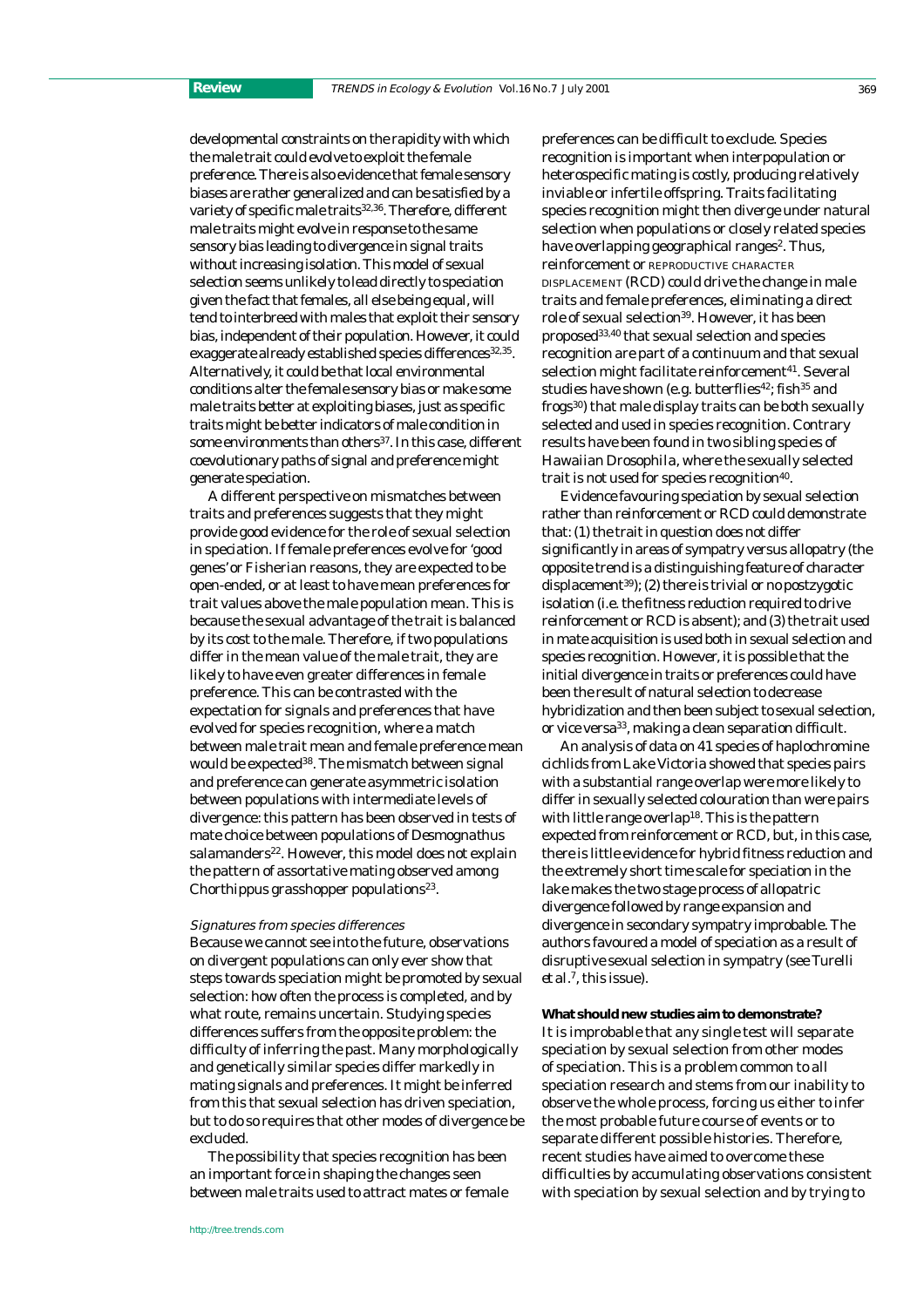developmental constraints on the rapidity with which the male trait could evolve to exploit the female preference. There is also evidence that female sensory biases are rather generalized and can be satisfied by a variety of specific male traits<sup>32,36</sup>. Therefore, different male traits might evolve in response to the same sensory bias leading to divergence in signal traits without increasing isolation. This model of sexual selection seems unlikely to lead directly to speciation given the fact that females, all else being equal, will tend to interbreed with males that exploit their sensory bias, independent of their population. However, it could exaggerate already established species differences<sup>32,35</sup>. Alternatively, it could be that local environmental conditions alter the female sensory bias or make some male traits better at exploiting biases, just as specific traits might be better indicators of male condition in some environments than others<sup>37</sup>. In this case, different coevolutionary paths of signal and preference might generate speciation.

A different perspective on mismatches between traits and preferences suggests that they might provide good evidence for the role of sexual selection in speciation. If female preferences evolve for 'good genes'or Fisherian reasons, they are expected to be open-ended, or at least to have mean preferences for trait values above the male population mean. This is because the sexual advantage of the trait is balanced by its cost to the male. Therefore, if two populations differ in the mean value of the male trait, they are likely to have even greater differences in female preference. This can be contrasted with the expectation for signals and preferences that have evolved for species recognition, where a match between male trait mean and female preference mean would be expected<sup>38</sup>. The mismatch between signal and preference can generate asymmetric isolation between populations with intermediate levels of divergence: this pattern has been observed in tests of mate choice between populations of *Desmognathus* salamanders<sup>22</sup>. However, this model does not explain the pattern of assortative mating observed among *Chorthippus* grasshopper populations<sup>23</sup>.

### Signatures from species differences

Because we cannot see into the future, observations on divergent populations can only ever show that steps towards speciation might be promoted by sexual selection: how often the process is completed, and by what route, remains uncertain. Studying species differences suffers from the opposite problem: the difficulty of inferring the past. Many morphologically and genetically similar species differ markedly in mating signals and preferences. It might be inferred from this that sexual selection has driven speciation, but to do so requires that other modes of divergence be excluded.

The possibility that species recognition has been an important force in shaping the changes seen between male traits used to attract mates or female

preferences can be difficult to exclude. Species recognition is important when interpopulation or heterospecific mating is costly, producing relatively inviable or infertile offspring. Traits facilitating species recognition might then diverge under natural selection when populations or closely related species have overlapping geographical ranges<sup>2</sup>. Thus, reinforcement or REPRODUCTIVE CHARACTER DISPLACEMENT (RCD) could drive the change in male traits and female preferences, eliminating a direct role of sexual selection<sup>39</sup>. However, it has been proposed33,40 that sexual selection and species recognition are part of a continuum and that sexual selection might facilitate reinforcement<sup>41</sup>. Several studies have shown (e.g. butterflies<sup>42</sup>; fish<sup>35</sup> and frogs<sup>30</sup>) that male display traits can be both sexually selected and used in species recognition. Contrary results have been found in two sibling species of Hawaiian *Drosophila*, where the sexually selected trait is not used for species recognition<sup>40</sup>.

Evidence favouring speciation by sexual selection rather than reinforcement or RCD could demonstrate that: (1) the trait in question does not differ significantly in areas of sympatry versus allopatry (the opposite trend is a distinguishing feature of character displacement<sup>39</sup>); (2) there is trivial or no postzygotic isolation (i.e. the fitness reduction required to drive reinforcement or RCD is absent); and (3) the trait used in mate acquisition is used both in sexual selection and species recognition. However, it is possible that the initial divergence in traits or preferences could have been the result of natural selection to decrease hybridization and then been subject to sexual selection, or vice versa<sup>33</sup>, making a clean separation difficult.

An analysis of data on 41 species of haplochromine cichlids from Lake Victoria showed that species pairs with a substantial range overlap were more likely to differ in sexually selected colouration than were pairs with little range overlap<sup>18</sup>. This is the pattern expected from reinforcement or RCD, but, in this case, there is little evidence for hybrid fitness reduction and the extremely short time scale for speciation in the lake makes the two stage process of allopatric divergence followed by range expansion and divergence in secondary sympatry improbable. The authors favoured a model of speciation as a result of disruptive sexual selection in sympatry (see Turelli *et al.*7, this issue).

**What should new studies aim to demonstrate?** It is improbable that any single test will separate speciation by sexual selection from other modes of speciation. This is a problem common to all speciation research and stems from our inability to observe the whole process, forcing us either to infer the most probable future course of events or to separate different possible histories. Therefore, recent studies have aimed to overcome these difficulties by accumulating observations consistent with speciation by sexual selection and by trying to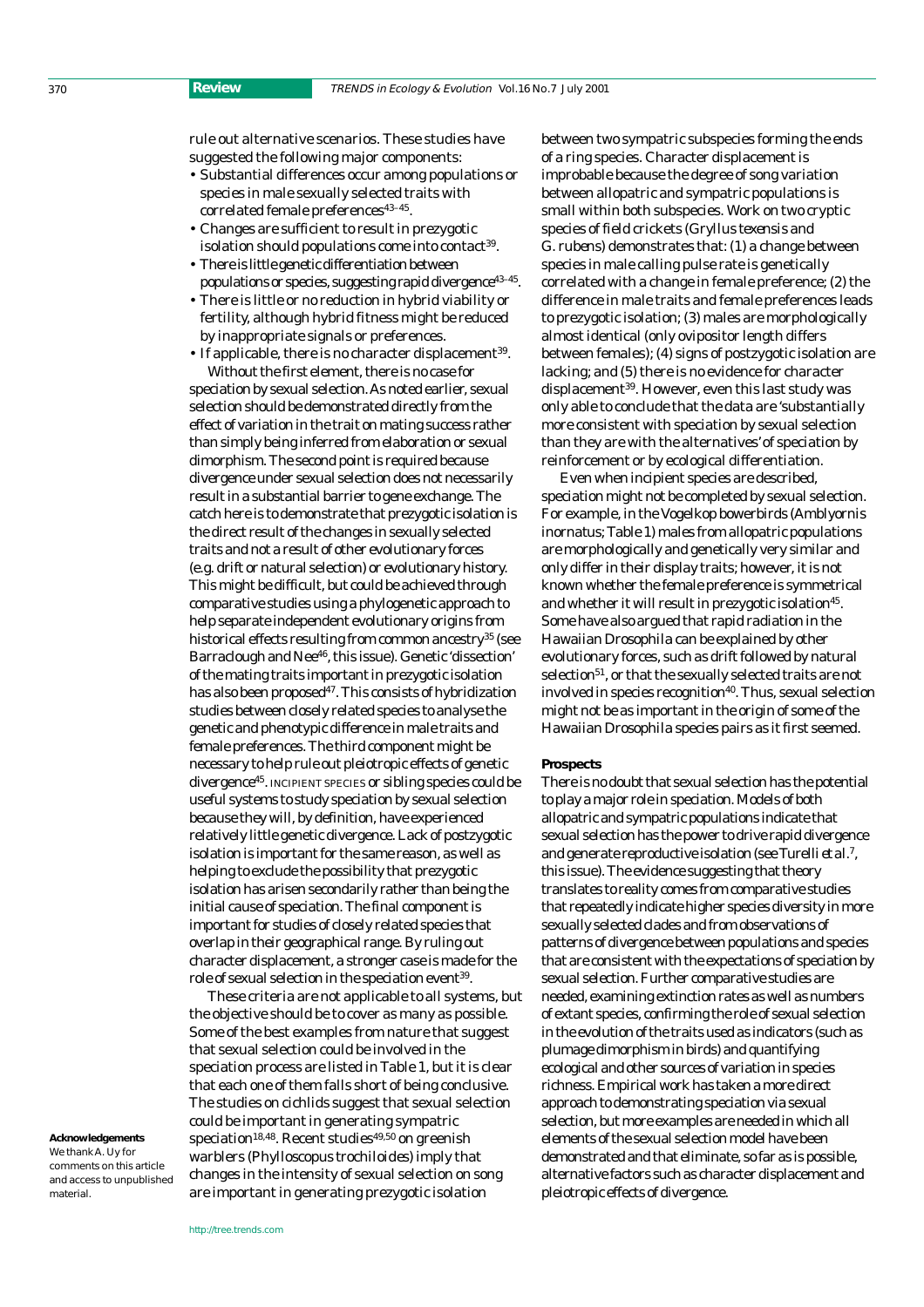rule out alternative scenarios. These studies have suggested the following major components:

- Substantial differences occur among populations or species in male sexually selected traits with correlated female preferences<sup>43-45</sup>.
- Changes are sufficient to result in prezygotic isolation should populations come into contact<sup>39</sup>.
- There is little genetic differentiation between populations or species, suggesting rapid divergence<sup>43-45</sup>.
- There is little or no reduction in hybrid viability or fertility, although hybrid fitness might be reduced by inappropriate signals or preferences.
- $\cdot$  If applicable, there is no character displacement<sup>39</sup>. Without the first element, there is no case for

speciation by sexual selection. As noted earlier, sexual selection should be demonstrated directly from the effect of variation in the trait on mating success rather than simply being inferred from elaboration or sexual dimorphism. The second point is required because divergence under sexual selection does not necessarily result in a substantial barrier to gene exchange. The catch here is to demonstrate that prezygotic isolation is the direct result of the changes in sexually selected traits and not a result of other evolutionary forces (e.g. drift or natural selection) or evolutionary history. This might be difficult, but could be achieved through comparative studies using a phylogenetic approach to help separate independent evolutionary origins from historical effects resulting from common ancestry<sup>35</sup> (see Barraclough and Nee46, this issue). Genetic 'dissection' of the mating traits important in prezygotic isolation has also been proposed<sup>47</sup>. This consists of hybridization studies between closely related species to analyse the genetic and phenotypic difference in male traits and female preferences. The third component might be necessary to help rule out pleiotropic effects of genetic divergence45. INCIPIENT SPECIES or sibling species could be useful systems to study speciation by sexual selection because they will, by definition, have experienced relatively little genetic divergence. Lack of postzygotic isolation is important for the same reason, as well as helping to exclude the possibility that prezygotic isolation has arisen secondarily rather than being the initial cause of speciation. The final component is important for studies of closely related species that overlap in their geographical range. By ruling out character displacement, a stronger case is made for the role of sexual selection in the speciation event<sup>39</sup>.

These criteria are not applicable to all systems, but the objective should be to cover as many as possible. Some of the best examples from nature that suggest that sexual selection could be involved in the speciation process are listed in Table 1, but it is clear that each one of them falls short of being conclusive. The studies on cichlids suggest that sexual selection could be important in generating sympatric speciation<sup>18,48</sup>. Recent studies<sup>49,50</sup> on greenish warblers (*Phylloscopus trochiloides*) imply that changes in the intensity of sexual selection on song are important in generating prezygotic isolation

http://tree.trends.com

**Acknowledgements** We thank A. Liv for comments on this article and access to unpublished

material.

between two sympatric subspecies forming the ends of a ring species. Character displacement is improbable because the degree of song variation between allopatric and sympatric populations is small within both subspecies. Work on two cryptic species of field crickets (*Gryllus texensis* and *G*. *rubens*) demonstrates that: (1) a change between species in male calling pulse rate is genetically correlated with a change in female preference; (2) the difference in male traits and female preferences leads to prezygotic isolation; (3) males are morphologically almost identical (only ovipositor length differs between females); (4) signs of postzygotic isolation are lacking; and (5) there is no evidence for character displacement<sup>39</sup>. However, even this last study was only able to conclude that the data are 'substantially more consistent with speciation by sexual selection than they are with the alternatives'of speciation by reinforcement or by ecological differentiation.

Even when incipient species are described, speciation might not be completed by sexual selection. For example, in the Vogelkop bowerbirds (*Amblyornis inornatus*; Table 1) males from allopatric populations are morphologically and genetically very similar and only differ in their display traits; however, it is not known whether the female preference is symmetrical and whether it will result in prezygotic isolation<sup>45</sup>. Some have also argued that rapid radiation in the Hawaiian *Drosophila* can be explained by other evolutionary forces, such as drift followed by natural selection<sup>51</sup>, or that the sexually selected traits are not involved in species recognition<sup>40</sup>. Thus, sexual selection might not be as important in the origin of some of the Hawaiian *Drosophila* species pairs as it first seemed.

#### **Prospects**

There is no doubt that sexual selection has the potential to play a major role in speciation. Models of both allopatric and sympatric populations indicate that sexual selection has the power to drive rapid divergence and generate reproductive isolation (see Turelli *etal.*7, this issue). The evidence suggesting that theory translates to reality comes from comparative studies that repeatedly indicate higher species diversity in more sexually selected clades and from observations of patterns of divergence between populations and species that are consistent with the expectations of speciation by sexual selection. Further comparative studies are needed, examining extinction rates as well as numbers of extant species, confirming the role of sexual selection in the evolution of the traits used as indicators (such as plumage dimorphism in birds) and quantifying ecological and other sources of variation in species richness. Empirical work has taken a more direct approach to demonstrating speciation via sexual selection, but more examples are needed in which all elements of the sexual selection model have been demonstrated and that eliminate, so far as is possible, alternative factors such as character displacement and pleiotropic effects of divergence.